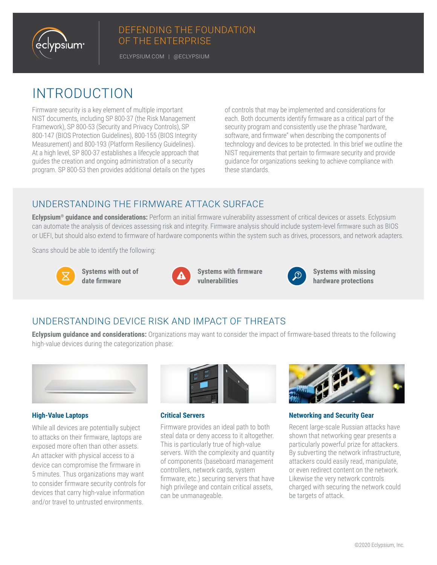

#### DEFENDING THE FOUNDATION OF THE ENTERPRISE

ECLYPSIUM.COM | @ECLYPSIUM

# INTRODUCTION

Firmware security is a key element of multiple important NIST documents, including SP 800-37 (the Risk Management Framework), SP 800-53 (Security and Privacy Controls), SP 800-147 (BIOS Protection Guidelines), 800-155 (BIOS Integrity Measurement) and 800-193 (Platform Resiliency Guidelines). At a high level, SP 800-37 establishes a lifecycle approach that guides the creation and ongoing administration of a security program. SP 800-53 then provides additional details on the types of controls that may be implemented and considerations for each. Both documents identify firmware as a critical part of the security program and consistently use the phrase "hardware, software, and firmware" when describing the components of technology and devices to be protected. In this brief we outline the NIST requirements that pertain to firmware security and provide guidance for organizations seeking to achieve compliance with these standards.

#### UNDERSTANDING THE FIRMWARE ATTACK SURFACE

**Eclypsium® guidance and considerations:** Perform an initial firmware vulnerability assessment of critical devices or assets. Eclypsium can automate the analysis of devices assessing risk and integrity. Firmware analysis should include system-level firmware such as BIOS or UEFI, but should also extend to firmware of hardware components within the system such as drives, processors, and network adapters.

Scans should be able to identify the following:



**Systems with out of date firmware**



**Systems with firmware vulnerabilities**



**Systems with missing hardware protections**

## UNDERSTANDING DEVICE RISK AND IMPACT OF THREATS

**Eclypsium guidance and considerations:** Organizations may want to consider the impact of firmware-based threats to the following high-value devices during the categorization phase:



#### **High-Value Laptops**

While all devices are potentially subject to attacks on their firmware, laptops are exposed more often than other assets. An attacker with physical access to a device can compromise the firmware in 5 minutes. Thus organizations may want to consider firmware security controls for devices that carry high-value information and/or travel to untrusted environments.



**Critical Servers**

Firmware provides an ideal path to both steal data or deny access to it altogether. This is particularly true of high-value servers. With the complexity and quantity of components (baseboard management controllers, network cards, system firmware, etc.) securing servers that have high privilege and contain critical assets, can be unmanageable.



**Networking and Security Gear**

Recent large-scale Russian attacks have shown that networking gear presents a particularly powerful prize for attackers. By subverting the network infrastructure, attackers could easily read, manipulate, or even redirect content on the network. Likewise the very network controls charged with securing the network could be targets of attack.